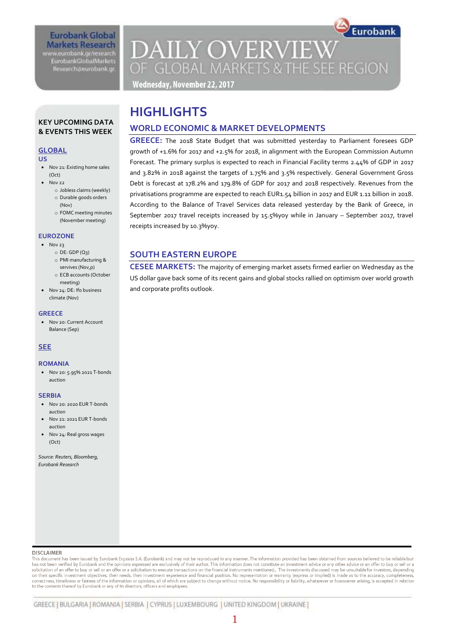## **Eurobank Global Markets Research** www.eurobank.gr/research

**EurobankGlobalMarkets** Research@eurobank.gr

# Eurobank **DAILY OVERVIEW** OF GLOBAL MARKETS & THE SEE REGION

Wednesday, November 22, 2017

# **HIGHLIGHTS**

## **WORLD ECONOMIC & MARKET DEVELOPMENTS**

**GREECE:** The 2018 State Budget that was submitted yesterday to Parliament foresees GDP growth of +1.6% for 2017 and +2.5% for 2018, in alignment with the European Commission Autumn Forecast. The primary surplus is expected to reach in Financial Facility terms 2.44% of GDP in 2017 and 3.82% in 2018 against the targets of 1.75% and 3.5% respectively. General Government Gross Debt is forecast at 178.2% and 179.8% of GDP for 2017 and 2018 respectively. Revenues from the privatisations programme are expected to reach EUR1.54 billion in 2017 and EUR 1.11 billion in 2018. According to the Balance of Travel Services data released yesterday by the Bank of Greece, in September 2017 travel receipts increased by 15.5%yoy while in January – September 2017, travel receipts increased by 10.3%yoy.

## **SOUTH EASTERN EUROPE**

**CESEE MARKETS:** The majority of emerging market assets firmed earlier on Wednesday as the US dollar gave back some of its recent gains and global stocks rallied on optimism over world growth and corporate profits outlook.

## **KEY UPCOMING DATA & EVENTS THIS WEEK**

## **GLOBAL**

## **US**

- Nov 21: Existing home sales (Oct)
- - Nov 22 o Jobless claims (weekly) o Durable goods orders
		- (Nov)
		- o FOMC meeting minutes (November meeting)

## **EUROZONE**

- $\bullet$  Nov 23
	- $O$  DE: GDP  $(Q_3)$
	- o PMI manufacturing &
	- servives (Nov,p) o ECB accounts (October
- meeting) • Nov 24: DE: Ifo business climate (Nov)

### **GREECE**

**Nov 20: Current Account** Balance (Sep)

## **SEE**

### **ROMANIA**

 Nov 20: 5.95% 2021 T-bonds auction

### **SERBIA**

- Nov 20: 2020 EUR T-bonds auction
- Nov 21: 2021 EUR T-bonds auction
- Nov 24: Real gross wages (Oct)

*Source: Reuters, Bloomberg, Eurobank Research*

#### **DISCLAIMER**

This document has been issued by Eurobank Ergasias S.A. (Eurobank) and may not be reproduced in any manner. The information provided has been obtained from sources believed to be reliable but has not been verified by Eurobank and the opinions expressed are exclusively of their author. This information does not constitute an investment advice or any other advice or an offer to buy or sell or a solicitation of an offer to buy or sell or an offer or a solicitation to execute transactions on the financial instruments mentioned. The investments discussed may be unsuitable for investors, depending on their specific investment objectives, their needs, their investment experience and financial position. No representation or warranty (express or implied) is made as to the accuracy, completeness correctness, timeliness or faimess of the information or opinions, all of which are subject to change without notice. No responsibility or liability, whatsoever or howsoever arising, is accepted in relation to the contents thereof by Eurobank or any of its directors, officers and employees.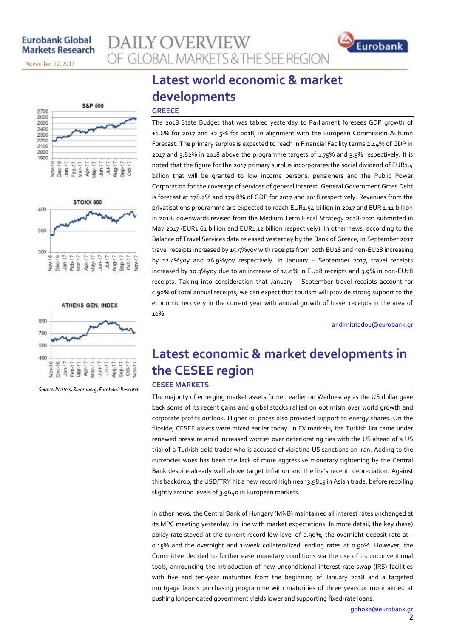November 22, 2017







Source: Reuters, Bloomberg, Eurobank Research

# **Latest world economic & market developments**

OF GLOBAL MARKETS & THE SEE REGION

#### **GREECE**

**AILY OVERVIEW** 

The 2018 State Budget that was tabled yesterday to Parliament foresees GDP growth of +1.6% for 2017 and +2.5% for 2018, in alignment with the European Commission Autumn Forecast. The primary surplus is expected to reach in Financial Facility terms 2.44% of GDP in 2017 and 3.82% in 2018 above the programme targets of 1.75% and 3.5% respectively. It is noted that the figure for the 2017 primary surplus incorporates the social dividend of EUR1.4 billion that will be granted to low income persons, pensioners and the Public Power Corporation for the coverage of services of general interest. General Government Gross Debt is forecast at 178.2% and 179.8% of GDP for 2017 and 2018 respectively. Revenues from the privatisations programme are expected to reach EUR1.54 billion in 2017 and EUR 1.11 billion in 2018, downwards revised from the Medium Term Fiscal Strategy 2018-2021 submitted in May 2017 (EUR1.61 billion and EUR1.12 billion respectively). In other news, according to the Balance of Travel Services data released yesterday by the Bank of Greece, in September 2017 travel receipts increased by 15.5%yoy with receipts from both EU28 and non-EU28 increasing by 12.4%yoy and 26.9%yoy respectively. In January – September 2017, travel receipts increased by 10.3%yoy due to an increase of 14.0% in EU28 receipts and 3.9% in non-EU28 receipts. Taking into consideration that January – September travel receipts account for c.90% of total annual receipts, we can expect that tourism will provide strong support to the economic recovery in the current year with annual growth of travel receipts in the area of 10%.

[andimitriadou@eurobank.gr](mailto:andimitriadou@eurobank.gr)

Eurobank

## **Latest economic & market developments in the CESEE region CESEE MARKETS**

The majority of emerging market assets firmed earlier on Wednesday as the US dollar gave back some of its recent gains and global stocks rallied on optimism over world growth and corporate profits outlook. Higher oil prices also provided support to energy shares. On the flipside, CESEE assets were mixed earlier today. In FX markets, the Turkish lira came under renewed pressure amid increased worries over deteriorating ties with the US ahead of a US trial of a Turkish gold trader who is accused of violating US sanctions on Iran. Adding to the currencies woes has been the lack of more aggressive monetary tightening by the Central Bank despite already well above target inflation and the lira's recent depreciation. Against this backdrop, the USD/TRY hit a new record high near 3.9815 in Asian trade, before recoiling slightly around levels of 3.9640 in European markets.

In other news, the Central Bank of Hungary (MNB) maintained all interest rates unchanged at its MPC meeting yesterday, in line with market expectations. In more detail, the key (base) policy rate stayed at the current record low level of 0.90%, the overnight deposit rate at -0.15% and the overnight and 1-week collateralized lending rates at 0.90%. However, the Committee decided to further ease monetary conditions via the use of its unconventional tools, announcing the introduction of new unconditional interest rate swap (IRS) facilities with five and ten-year maturities from the beginning of January 2018 and a targeted mortgage bonds purchasing programme with maturities of three years or more aimed at pushing longer-dated government yields lower and supporting fixed-rate loans.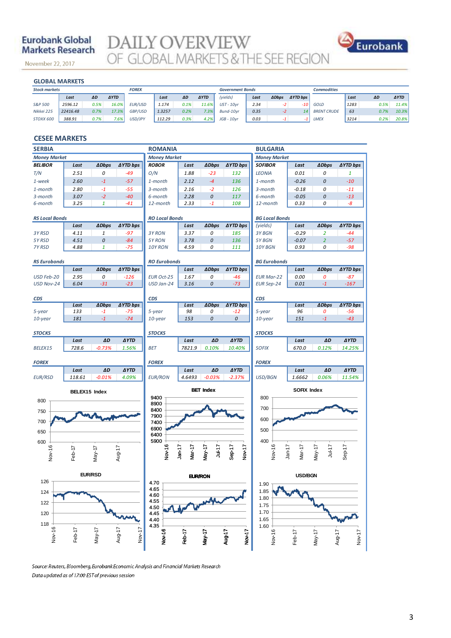## **Eurobank Global Markets Research**

November 22, 2017

**DAILY OVERVIEW**<br>OF GLOBAL MARKETS & THE SEE REGION



### **GLOBAL MARKETS**

| <b>GLOBAL MARKETS</b> |          |      |             |                |        |      |             |                         |      |              |                 |                    |      |      |             |
|-----------------------|----------|------|-------------|----------------|--------|------|-------------|-------------------------|------|--------------|-----------------|--------------------|------|------|-------------|
| <b>Stock markets</b>  |          |      |             | <b>FOREX</b>   |        |      |             | <b>Government Bonds</b> |      |              |                 | <b>Commodities</b> |      |      |             |
|                       | Last     | ΔD   | <b>AYTD</b> |                | Last   | ΔD   | <b>AYTD</b> | (yields)                | Last | <b>ADbps</b> | <b>AYTD bps</b> |                    | Last | ΔD   | <b>AYTD</b> |
| S&P 500               | 2596.12  | 0.5% | 16.0%       | <b>EUR/USD</b> | 1.174  | 0.1% | 11.6%       | $UST - 10vr$            | 2.34 | -2           | $-10$           | GOLD               | 1283 | 0.5% | 11.4%       |
| Nikkei 225            | 22416.48 | 0.7% | 17.3%       | GBP/USD        | 1.3257 | 0.2% | 7.3%        | Bund-10vr               | 0.35 | $-2$         | 14              | <b>BRENT CRUDE</b> | 63   | 0.7% | 10.3%       |
| <b>STOXX 600</b>      | 388.91   | 0.7% | 7.6%        | USD/JPY        | 112.29 | 0.3% | 4.2%        | $JGB - 10vr$            | 0.03 |              |                 | <b>LMEX</b>        | 3214 | 0.2% | 20.8%       |

### **CESEE MARKETS**

| <b>SERBIA</b>         |                |              |                  | <b>ROMANIA</b>        |                    |                  |                    | <b>BULGARIA</b>            |                    |                      |                    |  |
|-----------------------|----------------|--------------|------------------|-----------------------|--------------------|------------------|--------------------|----------------------------|--------------------|----------------------|--------------------|--|
| <b>Money Market</b>   |                |              |                  | <b>Money Market</b>   |                    |                  |                    | <b>Money Market</b>        |                    |                      |                    |  |
| <b>BELIBOR</b>        | Last           | <b>ADbps</b> | ∆YTD bps         | <b>ROBOR</b>          | Last               | <b>ADbps</b>     | <b>AYTD bps</b>    | <b>SOFIBOR</b>             | Last               | <b>ADbps</b>         | <b>AYTD bps</b>    |  |
| T/N                   | 2.51           | 0            | $-49$            | O/N                   | 1.88               | $-23$            | 132                | <b>LEONIA</b>              | 0.01               | 0                    | 1                  |  |
| 1-week                | 2.60           | $-1$         | $-57$            | 1-month               | 2.12               | $-4$             | 136                | 1-month                    | $-0.26$            | $\boldsymbol{0}$     | $-10$              |  |
| 1-month               | 2.80           | $-1$         | $-55$            | 3-month               | 2.16               | $-2$             | 126                | 3-month                    | $-0.18$            | 0                    | $-11$              |  |
| 3-month               | 3.07           | $-2$         | $-40$            | 6-month               | 2.28               | 0                | 117                | 6-month                    | $-0.05$            | $\boldsymbol{0}$     | $-13$              |  |
| 6-month               | 3.25           | $\mathbf{1}$ | $-41$            | 12-month              | 2.33               | $-1$             | 108                | 12-month                   | 0.33               | 0                    | -8                 |  |
| <b>RS Local Bonds</b> |                |              |                  | <b>RO Local Bonds</b> |                    |                  |                    | <b>BG Local Bonds</b>      |                    |                      |                    |  |
|                       | Last           | <b>ADbps</b> | ∆YTD bps         |                       | Last               | <b>ADbps</b>     | <b>AYTD bps</b>    | (yields)                   | Last               | <b>ADbps</b>         | <b>∆YTD bps</b>    |  |
| 3Y RSD                | 4.11           | $\it 1$      | $-97$            | 3Y RON                | 3.37               | 0                | 185                | 3Y BGN                     | $-0.29$            | $\overline{2}$       | $-44$              |  |
| 5Y RSD                | 4.51           | $\cal O$     | $-84$            | 5Y RON                | 3.78               | 0                | 136                | 5Y BGN                     | $-0.07$            | $\overline{2}$       | $-57$              |  |
| 7Y RSD                | 4.88           | $\mathbf{1}$ | $-75$            | 10Y RON               | 4.59               | 0                | 111                | 10Y BGN                    | 0.93               | 0                    | $-98$              |  |
| <b>RS Eurobonds</b>   |                |              |                  | <b>RO Eurobonds</b>   |                    |                  |                    | <b>BG Eurobonds</b>        |                    |                      |                    |  |
|                       | Last           | <b>ADbps</b> | ∆YTD bps         |                       | Last               | <b>ADbps</b>     | ∆YTD bps           |                            | Last               | <b>ADbps</b>         | <b>∆YTD bps</b>    |  |
| USD Feb-20            | 2.95           | 0            | $-126$           | <b>EUR Oct-25</b>     | 1.67               | 0                | $-46$              | <b>EUR Mar-22</b>          | 0.00               | 0                    | $-87$              |  |
| USD Nov-24            | 6.04           | $-31$        | $-23$            | USD Jan-24            | 3.16               | $\it{O}$         | $-73$              | <b>EUR Sep-24</b>          | 0.01               | $\mathbf{-1}$        | $-167$             |  |
| <b>CDS</b>            |                |              |                  | <b>CDS</b>            |                    |                  |                    | <b>CDS</b>                 |                    |                      |                    |  |
|                       | Last           | <b>ADbps</b> | <b>AYTD bps</b>  |                       | Last               | <b>ADbps</b>     | <b>AYTD bps</b>    |                            | Last               | <b>ADbps</b>         | <b>AYTD bps</b>    |  |
| 5-year                | 133            | $-1$         | $-75$            | 5-year                | 98                 | 0                | $-12$              | 5-year                     | 96                 | 0                    | -56                |  |
| $10$ -year            | 181            | $-1$         | $-74$            | $10$ -year            | 153                | 0                | $\mathcal{O}$      | 10-year                    | 151                | $-1$                 | $-43$              |  |
| <b>STOCKS</b>         |                |              |                  | <b>STOCKS</b>         |                    |                  |                    | <b>STOCKS</b>              |                    |                      |                    |  |
|                       | Last           | ΔD           | <b>AYTD</b>      |                       | Last               | $\Delta D$       | <b>AYTD</b>        |                            | Last               | ΔD                   | <b>AYTD</b>        |  |
| BELEX15               | 728.6          | $-0.73%$     | 1.56%            | <b>BET</b>            | 7821.9             | 0.10%            | 10.40%             | <b>SOFIX</b>               | 670.0              | 0.12%                | 14.25%             |  |
| <b>FOREX</b>          |                |              |                  | <b>FOREX</b>          |                    |                  |                    | <b>FOREX</b>               |                    |                      |                    |  |
|                       | Last           | ΔD           | <b>AYTD</b>      |                       | Last               | ΔD               | <b>AYTD</b>        |                            | Last               | ΔD                   | <b>AYTD</b>        |  |
| <b>EUR/RSD</b>        | 118.61         | $-0.01%$     | 4.09%            | <b>EUR/RON</b>        | 4.6493             | $-0.03%$         | $-2.37%$           | USD/BGN                    | 1.6662             | 0.06%                | 11.54%             |  |
|                       | BELEX15 Index  |              | <b>BET Index</b> |                       |                    |                  | <b>SOFIX Index</b> |                            |                    |                      |                    |  |
| 800                   |                |              | 9400<br>8900     |                       |                    |                  | 800                |                            |                    |                      |                    |  |
| 750                   |                |              |                  | 8400                  |                    |                  |                    | 700                        |                    |                      |                    |  |
|                       |                |              |                  | 7900                  |                    |                  |                    | 600                        |                    |                      |                    |  |
| 700                   |                |              | 7400<br>6900     |                       |                    |                  |                    |                            |                    |                      |                    |  |
| 650                   |                |              |                  | 6400                  |                    |                  |                    | 500                        |                    |                      |                    |  |
| 600                   |                |              |                  | 5900                  |                    |                  |                    | 400                        |                    |                      |                    |  |
| Nov-16                | Feb-17         | $May-17$     | Aug-17           | Nov-16                | $Jan-17$<br>Mar-17 | May-17<br>Jul-17 | Sep-17<br>Nov-17   | Nov-16                     | $Jan-17$<br>Mar-17 | $Jul-17$<br>$May-17$ | $Sep-17$           |  |
|                       |                |              |                  |                       |                    |                  |                    |                            |                    |                      |                    |  |
|                       | <b>EUR/RSD</b> |              |                  |                       |                    |                  |                    |                            |                    |                      |                    |  |
| 126                   |                |              |                  | 4.70                  | <b>EUR/RON</b>     |                  |                    | <b>USD/BGN</b><br>1.90 $T$ |                    |                      |                    |  |
| 124                   |                |              |                  | 4.65<br>4.60          |                    |                  |                    | 1.85                       |                    |                      |                    |  |
| 122                   |                |              |                  | 4.55                  |                    |                  |                    | 1.80                       |                    |                      |                    |  |
|                       |                |              |                  | 4.50                  |                    |                  |                    | 1.75                       |                    |                      |                    |  |
| 120                   |                |              |                  | 4.45                  |                    |                  |                    | 1.70<br>1.65               |                    |                      |                    |  |
| 118                   |                |              |                  | 4.40<br>4.35          |                    |                  |                    | 1.60                       |                    |                      |                    |  |
| Nov-16                | Feb-17         | $May-17$     | Aug-17<br>Nov-17 |                       |                    |                  |                    |                            |                    |                      |                    |  |
|                       |                |              |                  | Nov-16                | Feb-17             | $May-17$         | Nov-17<br>Aug-17   | Nov-16                     | Feb-17             | $May-17$             | Aug-17<br>$Nov-17$ |  |
|                       |                |              |                  |                       |                    |                  |                    |                            |                    |                      |                    |  |

Source: Reuters, Bloomberg, Eurobank Economic Analysis and Financial Markets Research Data updated as of 17:00 EST of previous session